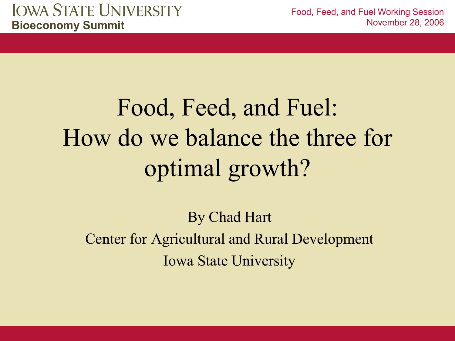# Food, Feed, and Fuel: How do we balance the three for optimal growth?

By Chad Hart Center for Agricultural and Rural Development Iowa State University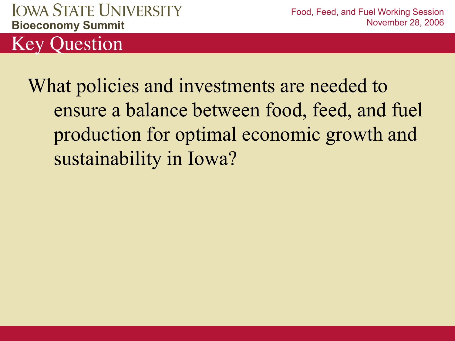Food, Feed, and Fuel Working Session November 28, 2006

Key Question

What policies and investments are needed to ensure a balance between food, feed, and fuel production for optimal economic growth and sustainability in Iowa?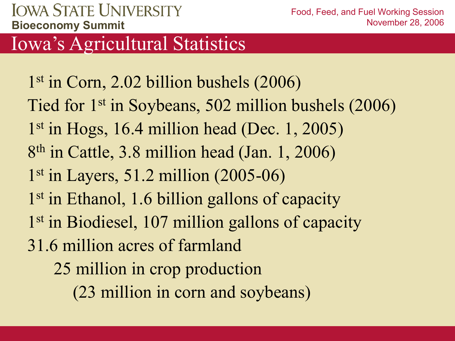### Iowa's Agricultural Statistics

1 st in Corn, 2.02 billion bushels (2006) Tied for 1st in Soybeans, 502 million bushels (2006) 1 st in Hogs, 16.4 million head (Dec. 1, 2005) 8 th in Cattle, 3.8 million head (Jan. 1, 2006) 1 st in Layers, 51.2 million (2005-06) 1<sup>st</sup> in Ethanol, 1.6 billion gallons of capacity 1<sup>st</sup> in Biodiesel, 107 million gallons of capacity 31.6 million acres of farmland 25 million in crop production

(23 million in corn and soybeans)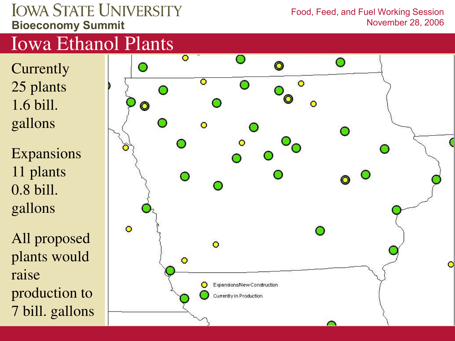Food, Feed, and Fuel Working Session November 28, 2006

### Iowa Ethanol Plants

- **Currently** 25 plants 1.6 bill. gallons
- Expansions 11 plants 0.8 bill. gallons
- All proposed plants would raise production to 7 bill. gallons

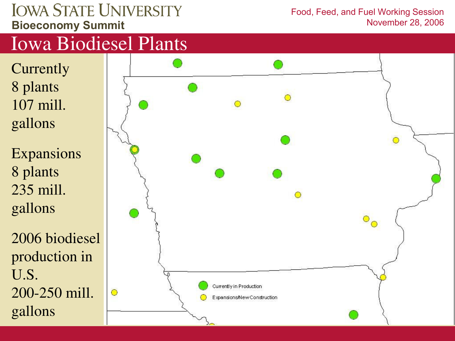#### Food, Feed, and Fuel Working Session November 28, 2006

## Iowa Biodiesel Plants

**Currently** 8 plants 107 mill. gallons

Expansions 8 plants 235 mill. gallons

2006 biodiesel production in U.S. 200-250 mill. gallons

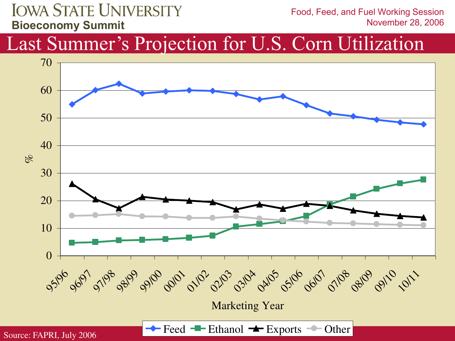Food, Feed, and Fuel Working Session November 28, 2006

### Last Summer's Projection for U.S. Corn Utilization

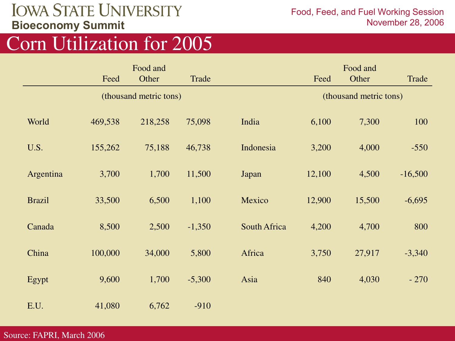Food, Feed, and Fuel Working Session November 28, 2006

### Corn Utilization for 2005

|               | Food and               |         |          |              | Food and               |        |           |  |
|---------------|------------------------|---------|----------|--------------|------------------------|--------|-----------|--|
|               | Feed                   | Other   | Trade    |              | Feed                   | Other  | Trade     |  |
|               | (thousand metric tons) |         |          |              | (thousand metric tons) |        |           |  |
| World         | 469,538                | 218,258 | 75,098   | India        | 6,100                  | 7,300  | 100       |  |
| U.S.          | 155,262                | 75,188  | 46,738   | Indonesia    | 3,200                  | 4,000  | $-550$    |  |
| Argentina     | 3,700                  | 1,700   | 11,500   | Japan        | 12,100                 | 4,500  | $-16,500$ |  |
| <b>Brazil</b> | 33,500                 | 6,500   | 1,100    | Mexico       | 12,900                 | 15,500 | $-6,695$  |  |
| Canada        | 8,500                  | 2,500   | $-1,350$ | South Africa | 4,200                  | 4,700  | 800       |  |
| China         | 100,000                | 34,000  | 5,800    | Africa       | 3,750                  | 27,917 | $-3,340$  |  |
| Egypt         | 9,600                  | 1,700   | $-5,300$ | Asia         | 840                    | 4,030  | $-270$    |  |
| E.U.          | 41,080                 | 6,762   | $-910$   |              |                        |        |           |  |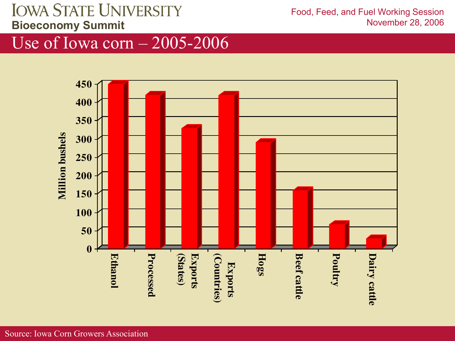Food, Feed, and Fuel Working Session November 28, 2006

Use of Iowa corn – 2005-2006

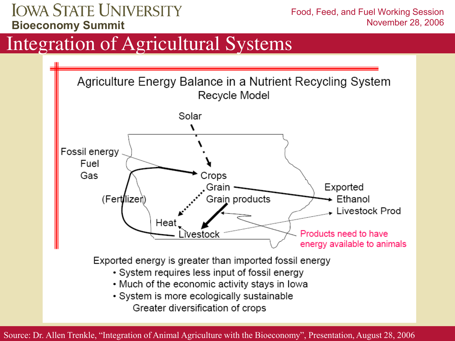Food, Feed, and Fuel Working Session November 28, 2006

### Integration of Agricultural Systems



Source: Dr. Allen Trenkle, "Integration of Animal Agriculture with the Bioeconomy", Presentation, August 28, 2006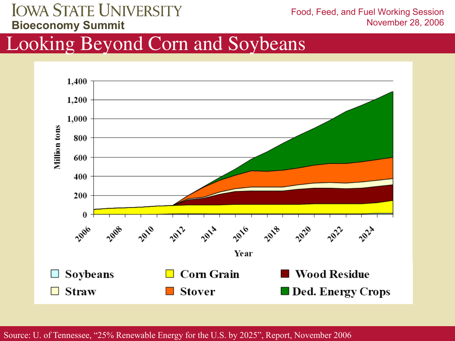Food, Feed, and Fuel Working Session November 28, 2006

### Looking Beyond Corn and Soybeans



Source: U. of Tennessee, "25% Renewable Energy for the U.S. by 2025", Report, November 2006